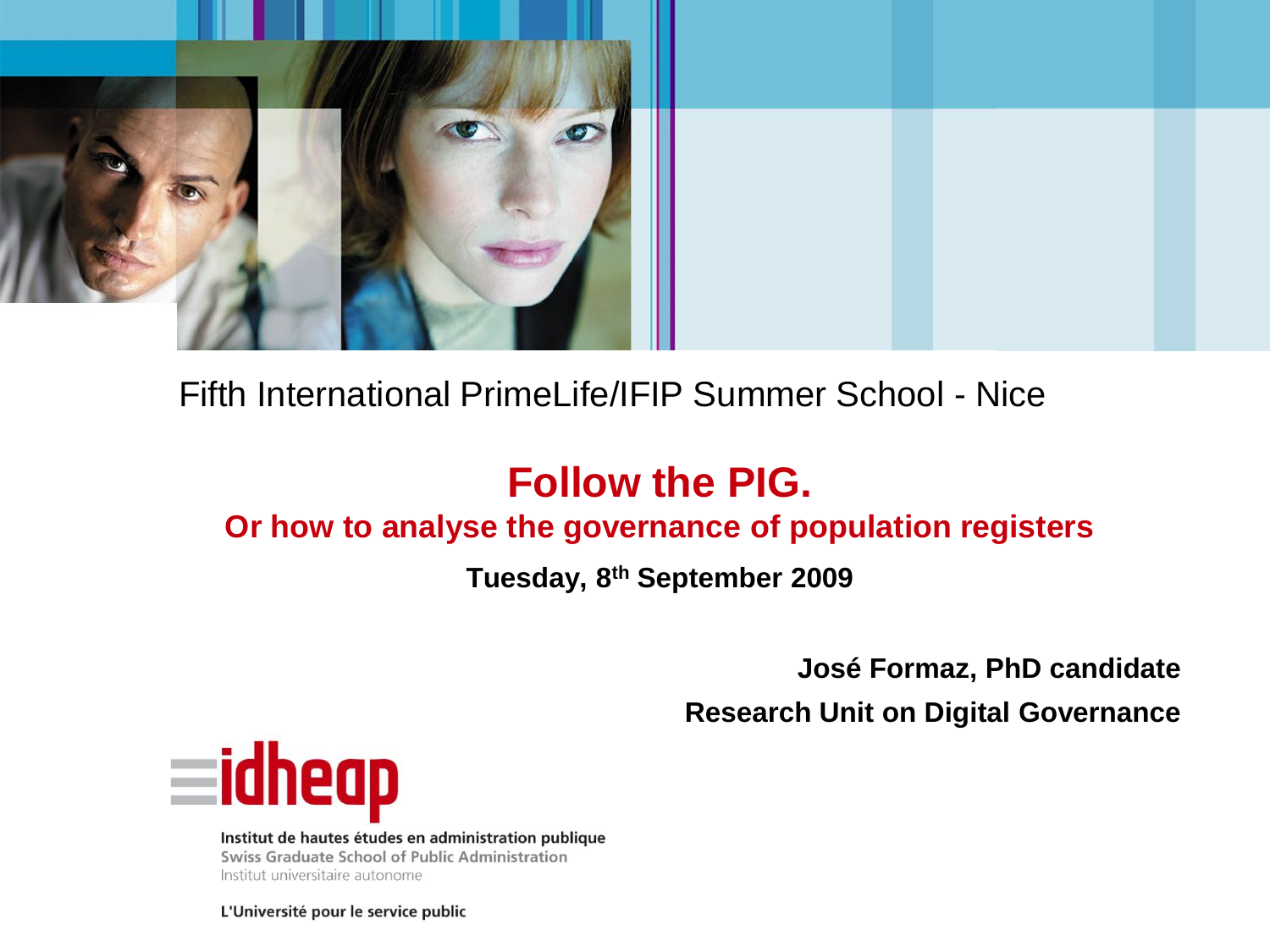

#### Fifth International PrimeLife/IFIP Summer School - Nice

### **Follow the PIG.**

#### **Or how to analyse the governance of population registers**

**Tuesday, 8th September 2009** 

**José Formaz, PhD candidate**

**Research Unit on Digital Governance**



Institut de hautes études en administration publique Swiss Graduate School of Public Administration Institut universitaire autonome

L'Université pour le service public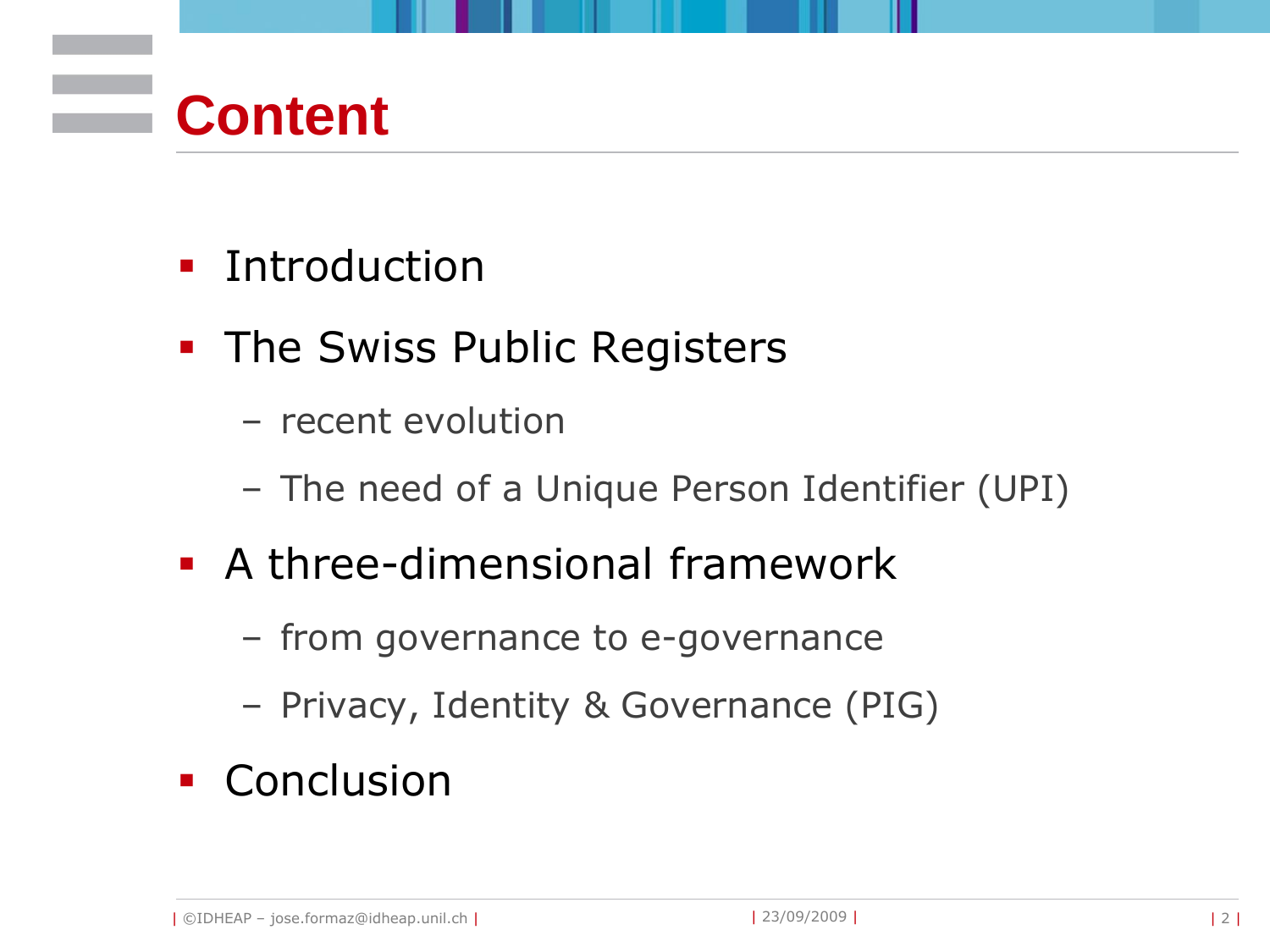## **Content**

- **Introduction**
- **The Swiss Public Registers** 
	- recent evolution
	- The need of a Unique Person Identifier (UPI)
- A three-dimensional framework
	- from governance to e-governance
	- Privacy, Identity & Governance (PIG)
- **Conclusion**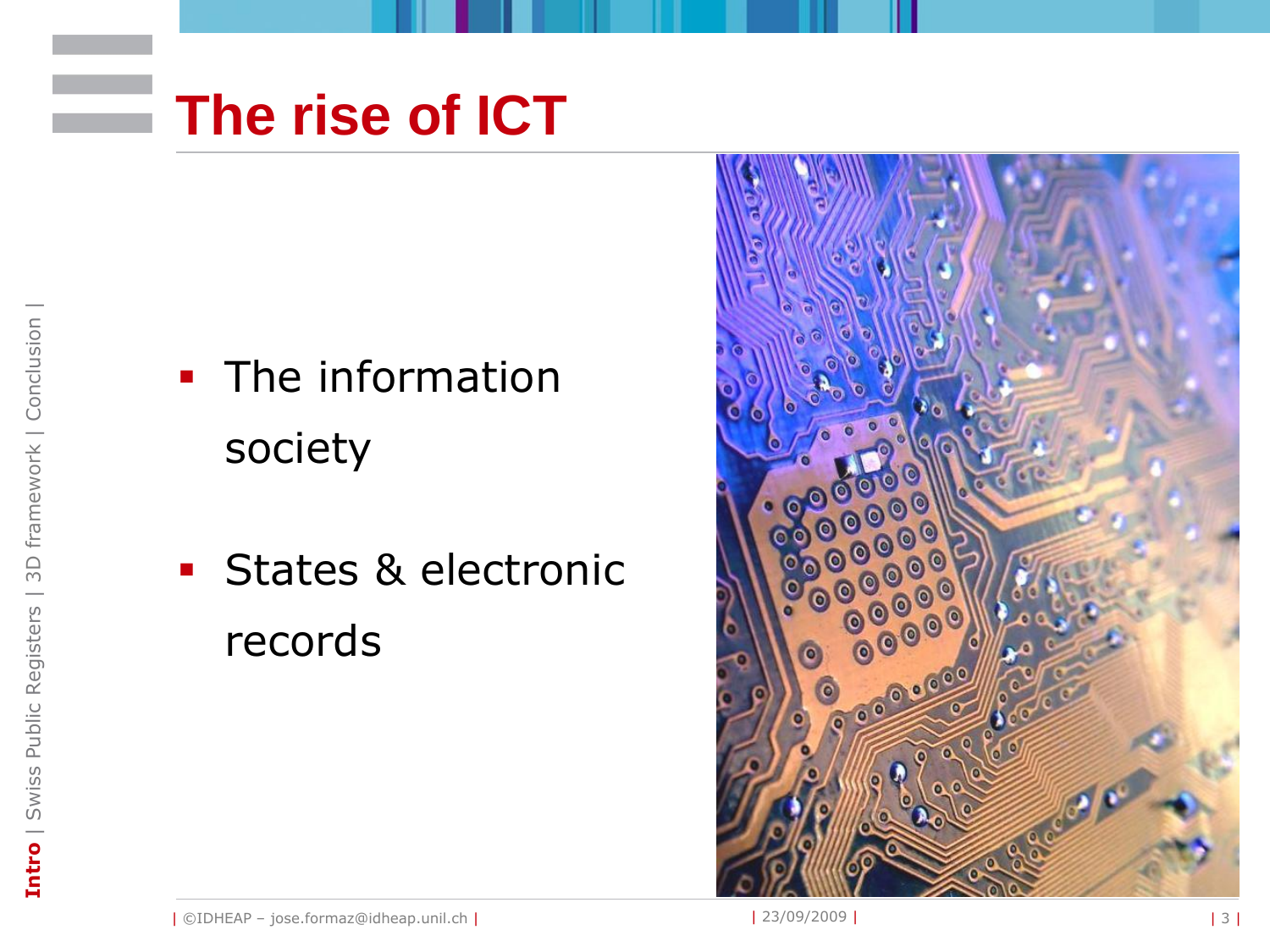

- The information society
- **States & electronic** records

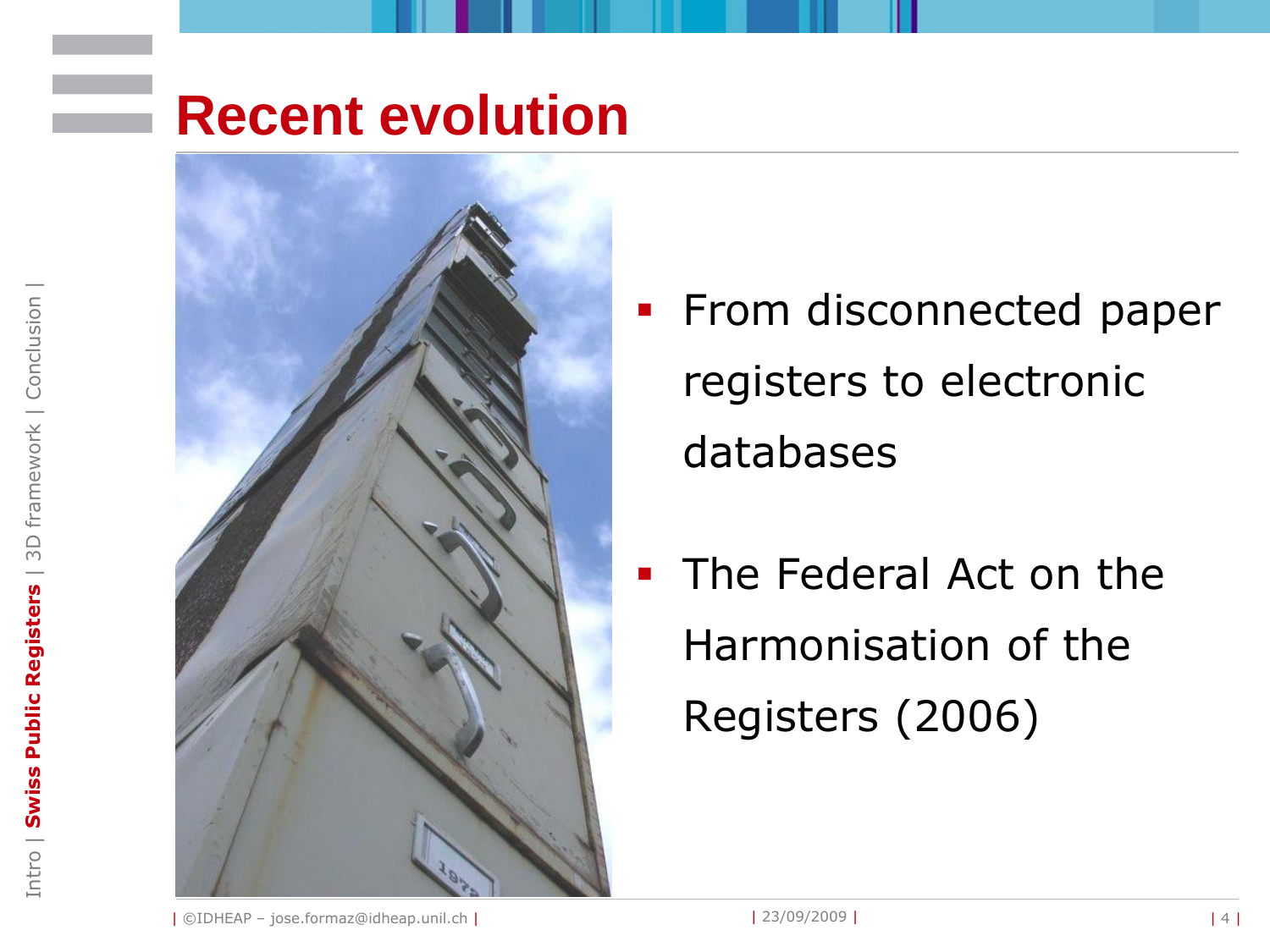## **Recent evolution**



- From disconnected paper registers to electronic databases
- The Federal Act on the Harmonisation of the Registers (2006)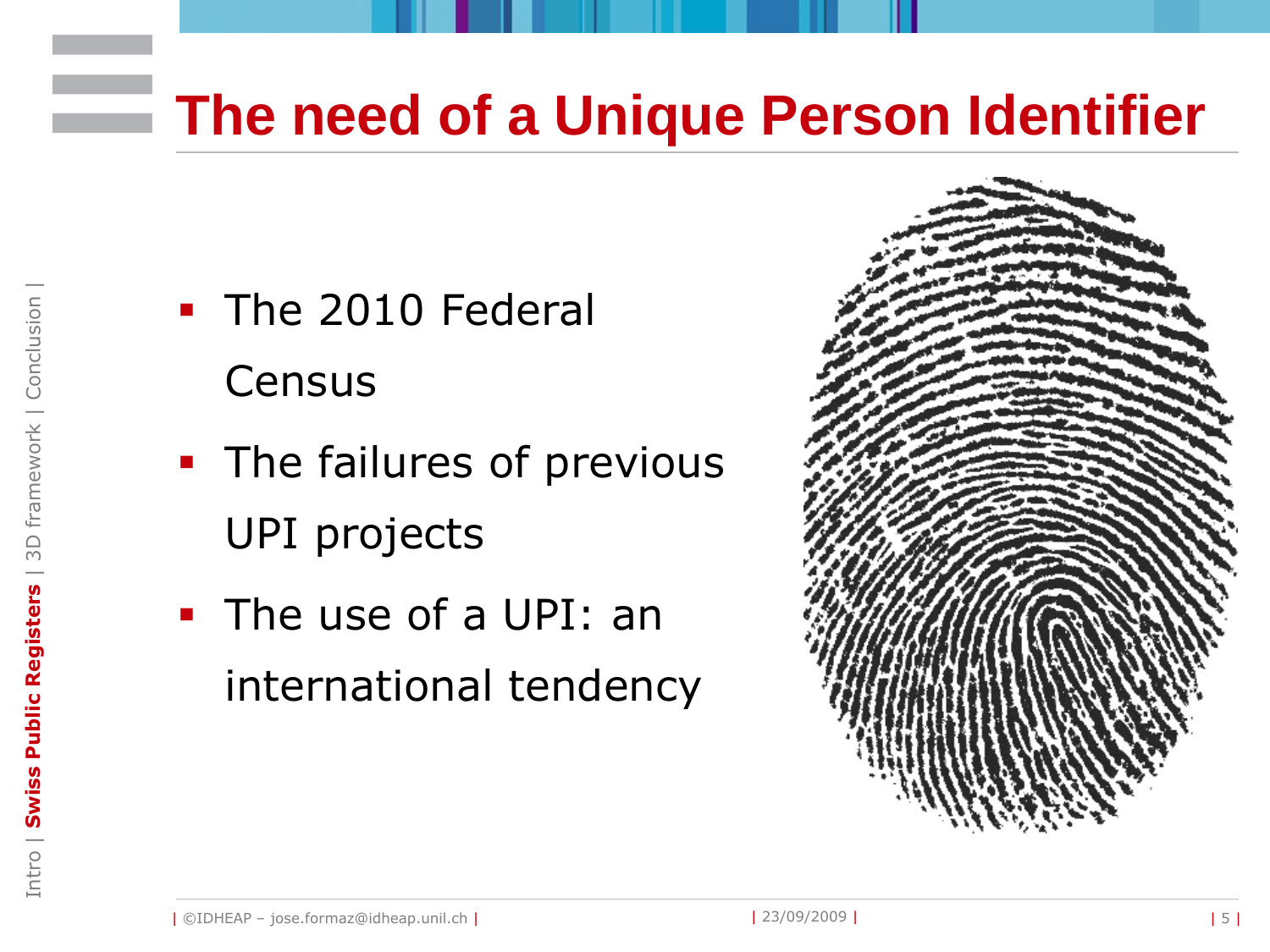## **The need of a Unique Person Identifier**

- The 2010 Federal **Census**
- **The failures of previous** UPI projects
- The use of a UPI: an international tendency

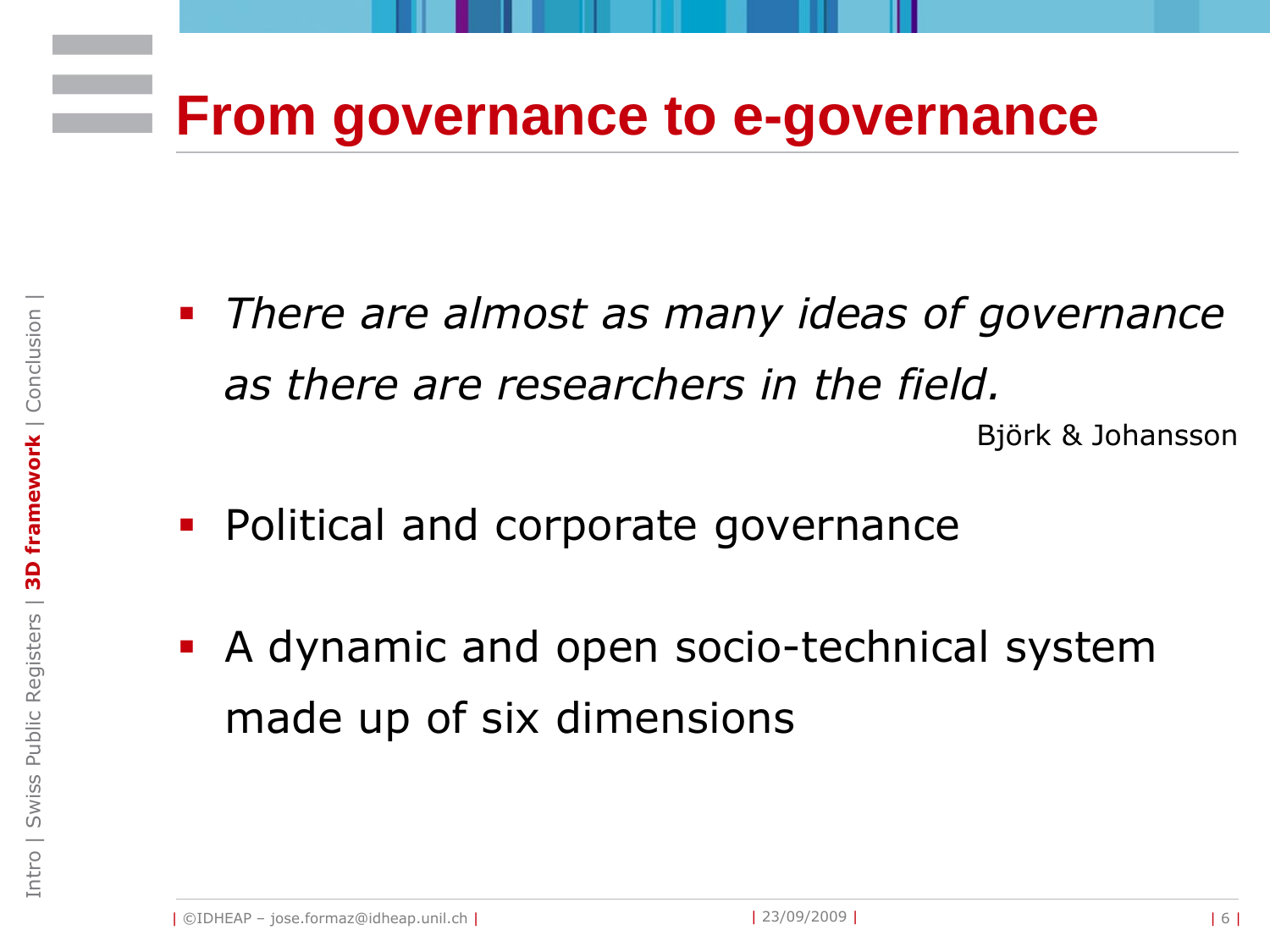## **From governance to e-governance**

- *There are almost as many ideas of governance as there are researchers in the field.* Björk & Johansson
- **Political and corporate governance**
- A dynamic and open socio-technical system made up of six dimensions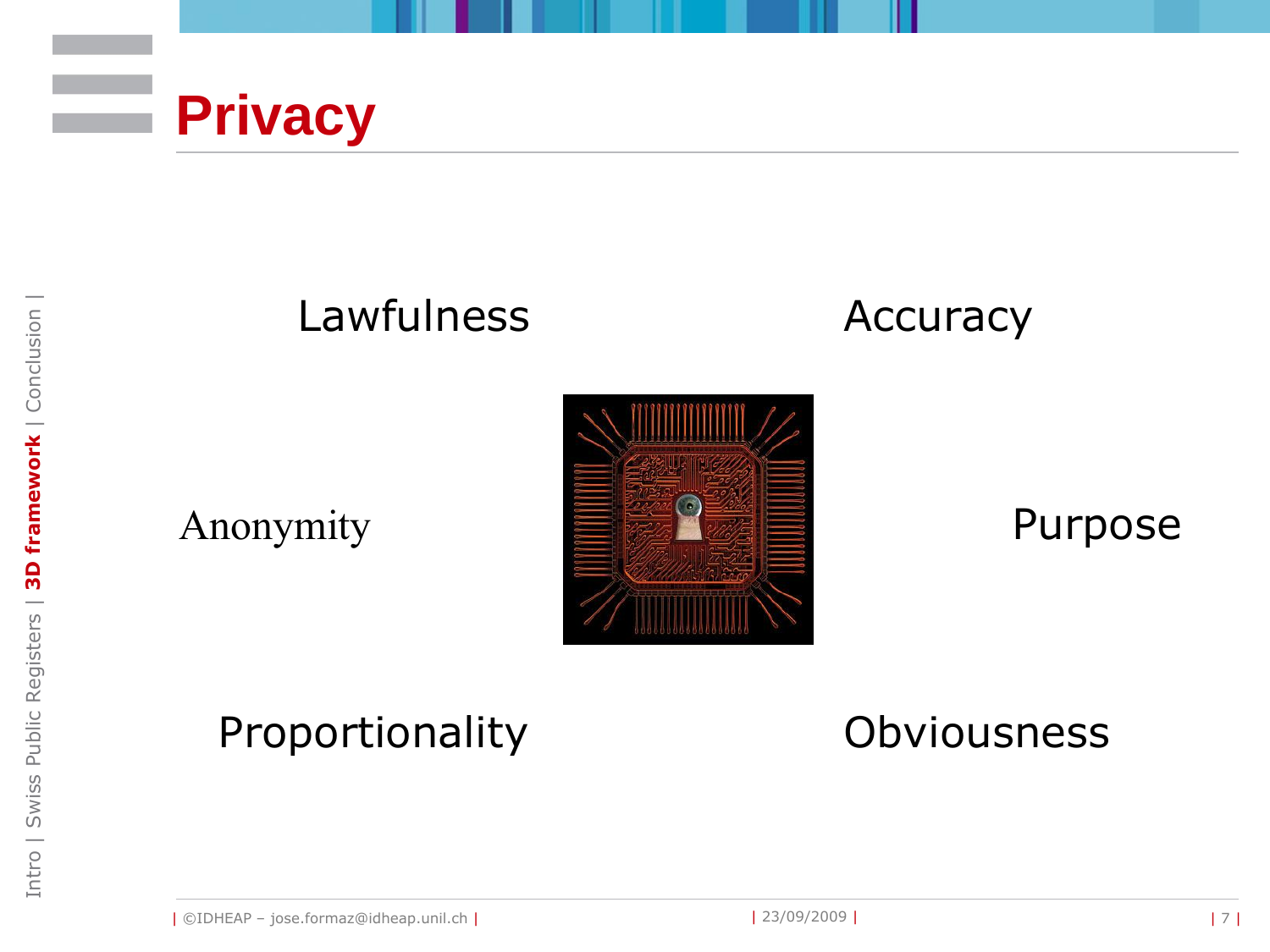

### Lawfulness



Anonymity



#### Purpose

### Proportionality

**Obviousness**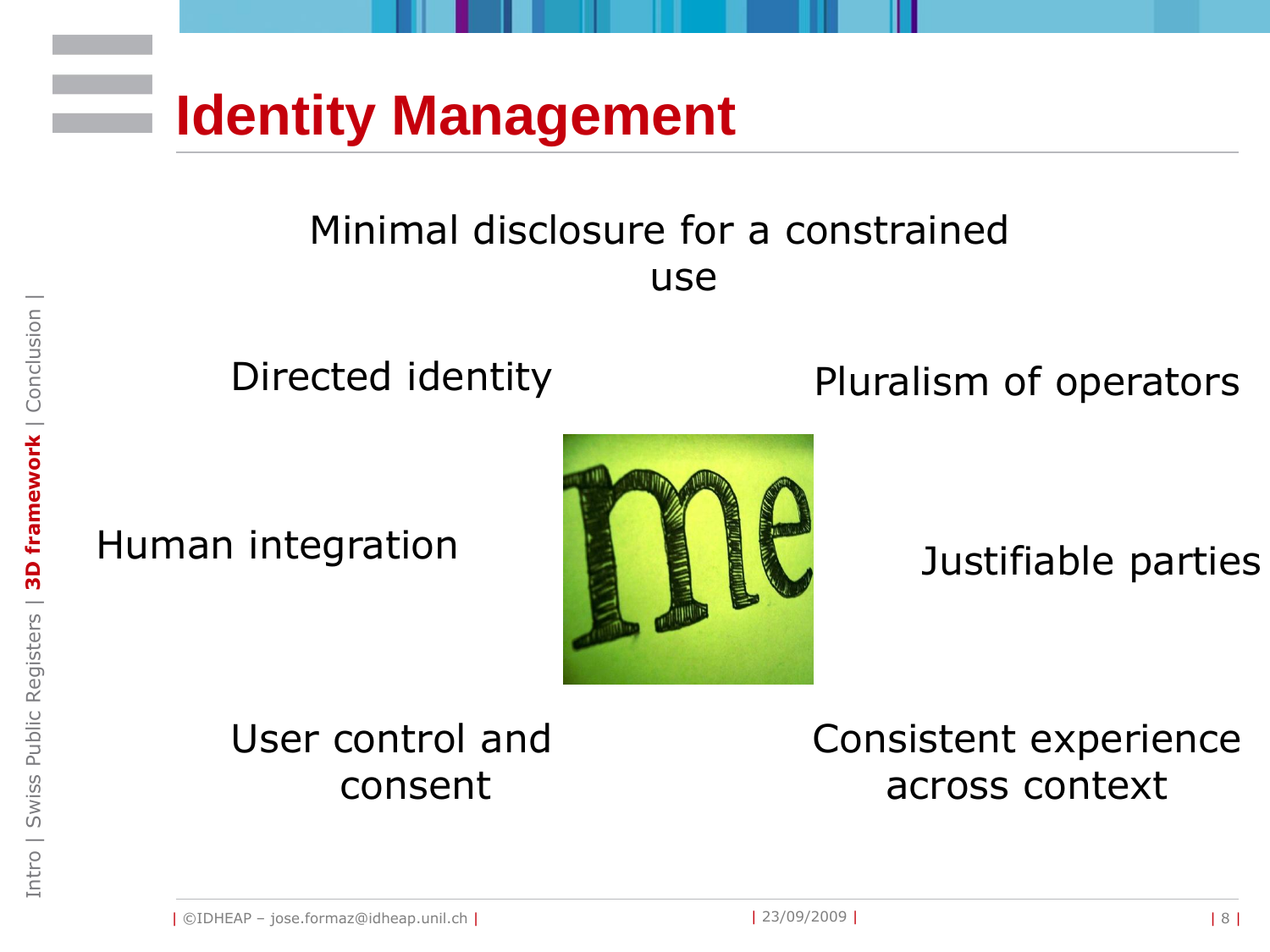

#### Minimal disclosure for a constrained use

Human integration



Directed identity **Pluralism of operators** 

Justifiable parties

#### User control and consent

Consistent experience across context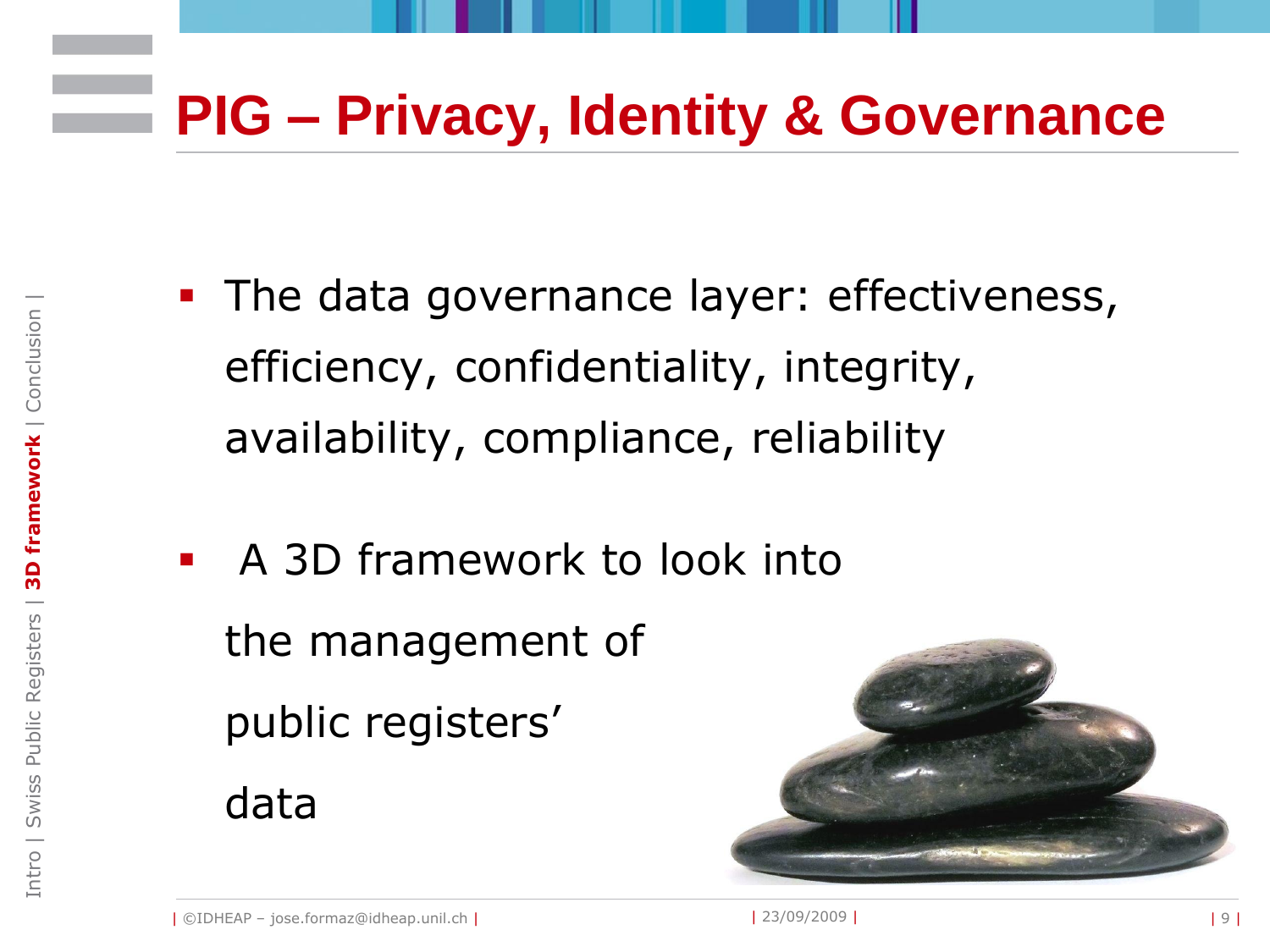# **PIG – Privacy, Identity & Governance**

- **The data governance layer: effectiveness,** efficiency, confidentiality, integrity, availability, compliance, reliability
- A 3D framework to look into the management of public registers' data



Intro | Swiss Public Registers | **3D framework** | Conclusion |

Intro | Swiss Public Registers

3D framework | Conclusion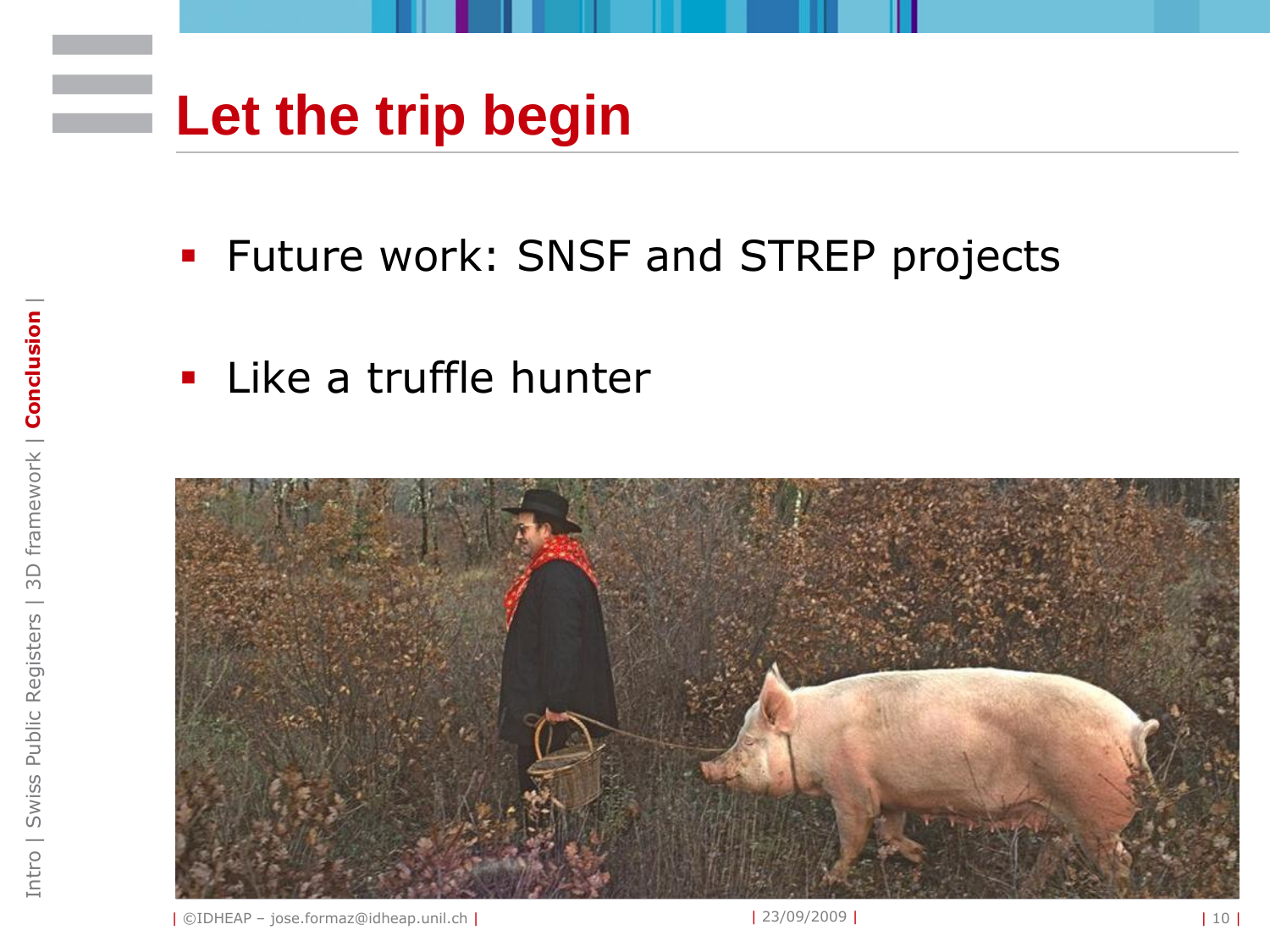# **Let the trip begin**

- **Future work: SNSF and STREP projects**
- **Like a truffle hunter**